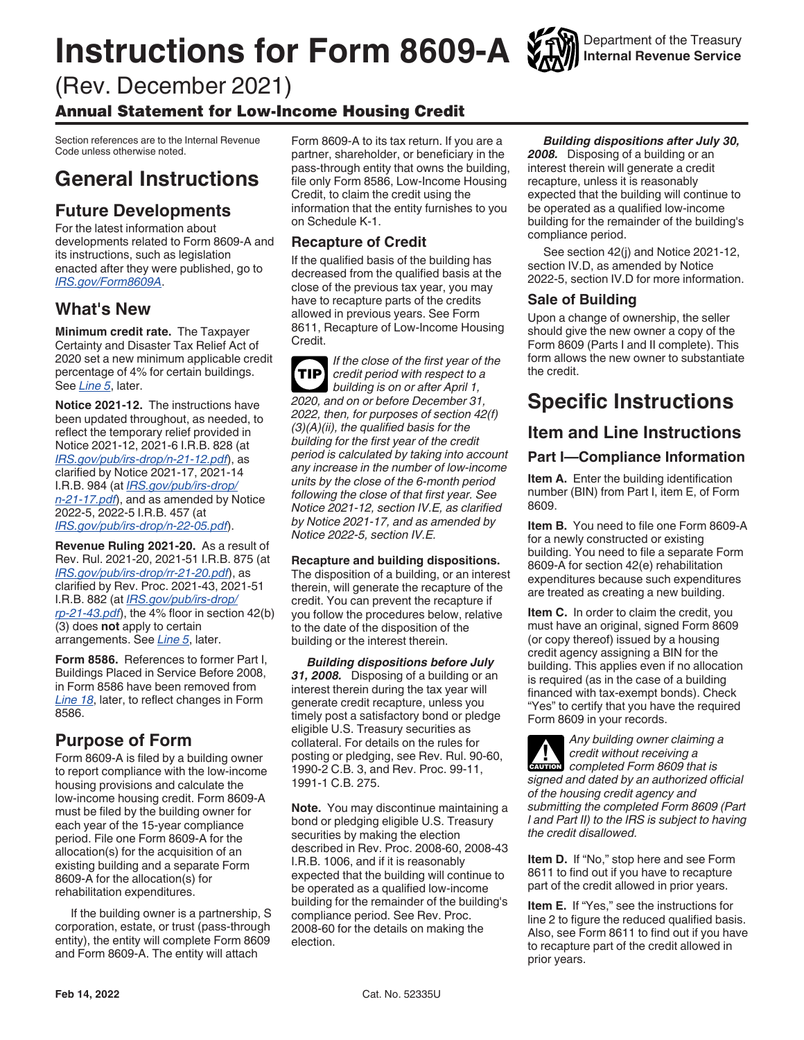# <span id="page-0-0"></span>**Instructions for Form 8609-A**

(Rev. December 2021)

### Annual Statement for Low-Income Housing Credit

Section references are to the Internal Revenue Code unless otherwise noted.

# **General Instructions**

# **Future Developments**

For the latest information about developments related to Form 8609-A and its instructions, such as legislation enacted after they were published, go to *[IRS.gov/Form8609A](https://www.irs.gov/Form8609A)*.

# **What's New**

**Minimum credit rate.** The Taxpayer Certainty and Disaster Tax Relief Act of 2020 set a new minimum applicable credit percentage of 4% for certain buildings. See *[Line 5](#page-2-0)*, later.

**Notice 2021-12.** The instructions have been updated throughout, as needed, to reflect the temporary relief provided in Notice 2021-12, 2021-6 I.R.B. 828 (at *[IRS.gov/pub/irs-drop/n-21-12.pdf](https://www.irs.gov/pub/irs-drop/n-21-12.pdf)*), as clarified by Notice 2021-17, 2021-14 I.R.B. 984 (at *[IRS.gov/pub/irs-drop/](https://www.irs.gov/pub/irs-drop/n-21-17.pdf) [n-21-17.pdf](https://www.irs.gov/pub/irs-drop/n-21-17.pdf)*), and as amended by Notice 2022-5, 2022-5 I.R.B. 457 (at *[IRS.gov/pub/irs-drop/n-22-05.pdf](https://www.irs.gov/pub/irs-drop/n-22-05.pdf)*).

**Revenue Ruling 2021-20.** As a result of Rev. Rul. 2021-20, 2021-51 I.R.B. 875 (at *[IRS.gov/pub/irs-drop/rr-21-20.pdf](https://www.irs.gov/pub/irs-drop/rr-21-20.pdf)*), as clarified by Rev. Proc. 2021-43, 2021-51 I.R.B. 882 (at *[IRS.gov/pub/irs-drop/](https://www.irs.gov/pub/irs-drop/rp-21-43.pdf) [rp-21-43.pdf](https://www.irs.gov/pub/irs-drop/rp-21-43.pdf)*), the 4% floor in section 42(b) (3) does **not** apply to certain arrangements. See *[Line 5](#page-2-0)*, later.

**Form 8586.** References to former Part I, Buildings Placed in Service Before 2008, in Form 8586 have been removed from *[Line 18](#page-4-0)*, later, to reflect changes in Form 8586.

### **Purpose of Form**

Form 8609-A is filed by a building owner to report compliance with the low-income housing provisions and calculate the low-income housing credit. Form 8609-A must be filed by the building owner for each year of the 15-year compliance period. File one Form 8609-A for the allocation(s) for the acquisition of an existing building and a separate Form 8609-A for the allocation(s) for rehabilitation expenditures.

If the building owner is a partnership, S corporation, estate, or trust (pass-through entity), the entity will complete Form 8609 and Form 8609-A. The entity will attach

Form 8609-A to its tax return. If you are a partner, shareholder, or beneficiary in the pass-through entity that owns the building, file only Form 8586, Low-Income Housing Credit, to claim the credit using the information that the entity furnishes to you on Schedule K-1.

#### **Recapture of Credit**

If the qualified basis of the building has decreased from the qualified basis at the close of the previous tax year, you may have to recapture parts of the credits allowed in previous years. See Form 8611, Recapture of Low-Income Housing Credit.

*If the close of the first year of the credit period with respect to a building is on or after April 1, 2020, and on or before December 31, 2022, then, for purposes of section 42(f) (3)(A)(ii), the qualified basis for the building for the first year of the credit period is calculated by taking into account any increase in the number of low-income units by the close of the 6-month period following the close of that first year. See Notice 2021-12, section IV.E, as clarified by Notice 2021-17, and as amended by Notice 2022-5, section IV.E.* **TIP**

**Recapture and building dispositions.**  The disposition of a building, or an interest therein, will generate the recapture of the credit. You can prevent the recapture if you follow the procedures below, relative to the date of the disposition of the building or the interest therein.

*Building dispositions before July 31, 2008.* Disposing of a building or an interest therein during the tax year will generate credit recapture, unless you timely post a satisfactory bond or pledge eligible U.S. Treasury securities as collateral. For details on the rules for posting or pledging, see Rev. Rul. 90-60, 1990-2 C.B. 3, and Rev. Proc. 99-11, 1991-1 C.B. 275.

**Note.** You may discontinue maintaining a bond or pledging eligible U.S. Treasury securities by making the election described in Rev. Proc. 2008-60, 2008-43 I.R.B. 1006, and if it is reasonably expected that the building will continue to be operated as a qualified low-income building for the remainder of the building's compliance period. See Rev. Proc. 2008-60 for the details on making the election.

*Building dispositions after July 30,* 

*2008.* Disposing of a building or an interest therein will generate a credit recapture, unless it is reasonably expected that the building will continue to be operated as a qualified low-income building for the remainder of the building's compliance period.

See section 42(j) and Notice 2021-12, section IV.D, as amended by Notice 2022-5, section IV.D for more information.

#### **Sale of Building**

Upon a change of ownership, the seller should give the new owner a copy of the Form 8609 (Parts I and II complete). This form allows the new owner to substantiate the credit.

# **Specific Instructions**

## **Item and Line Instructions Part I—Compliance Information**

**Item A.** Enter the building identification number (BIN) from Part I, item E, of Form 8609.

**Item B.** You need to file one Form 8609-A for a newly constructed or existing building. You need to file a separate Form 8609-A for section 42(e) rehabilitation expenditures because such expenditures are treated as creating a new building.

**Item C.** In order to claim the credit, you must have an original, signed Form 8609 (or copy thereof) issued by a housing credit agency assigning a BIN for the building. This applies even if no allocation is required (as in the case of a building financed with tax-exempt bonds). Check "Yes" to certify that you have the required Form 8609 in your records.

*Any building owner claiming a credit without receiving a*  **CAUTION** *credit without receiving a*<br> *completed Form 8609 that is signed and dated by an authorized official of the housing credit agency and submitting the completed Form 8609 (Part I and Part II) to the IRS is subject to having the credit disallowed.*

**Item D.** If "No," stop here and see Form 8611 to find out if you have to recapture part of the credit allowed in prior years.

**Item E.** If "Yes," see the instructions for line 2 to figure the reduced qualified basis. Also, see Form 8611 to find out if you have to recapture part of the credit allowed in prior years.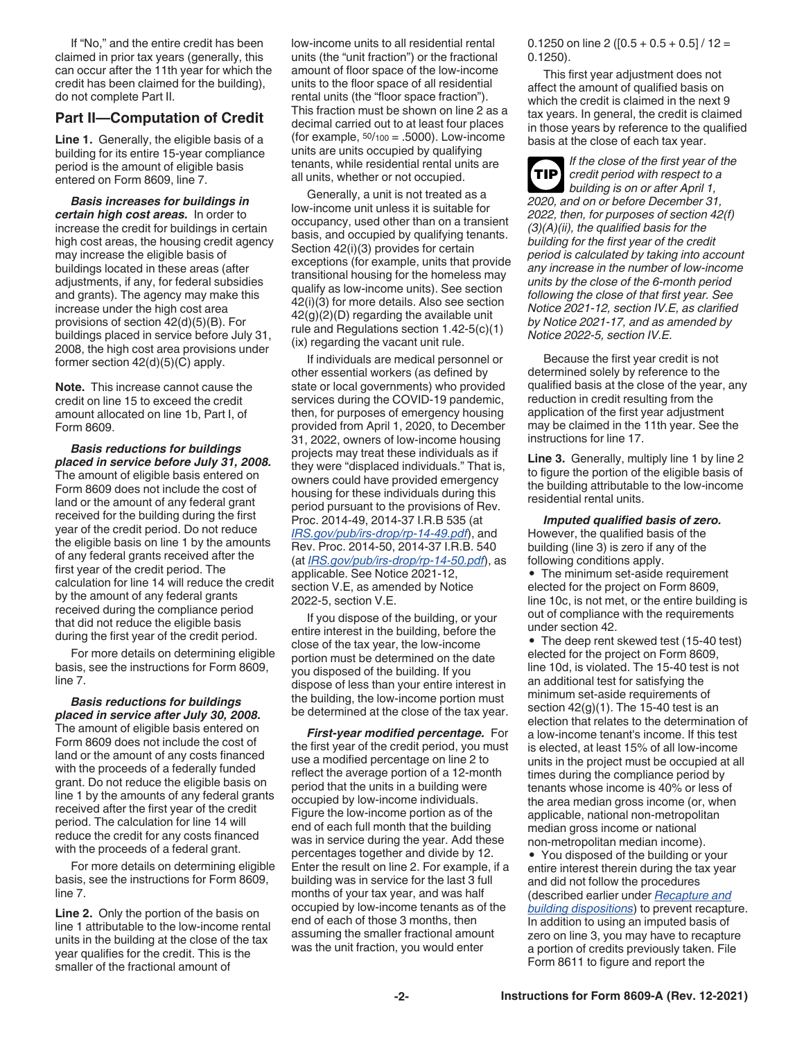<span id="page-1-0"></span>If "No," and the entire credit has been claimed in prior tax years (generally, this can occur after the 11th year for which the credit has been claimed for the building), do not complete Part II.

#### **Part II—Computation of Credit**

**Line 1.** Generally, the eligible basis of a building for its entire 15-year compliance period is the amount of eligible basis entered on Form 8609, line 7.

*Basis increases for buildings in certain high cost areas.* In order to increase the credit for buildings in certain high cost areas, the housing credit agency may increase the eligible basis of buildings located in these areas (after adjustments, if any, for federal subsidies and grants). The agency may make this increase under the high cost area provisions of section 42(d)(5)(B). For buildings placed in service before July 31, 2008, the high cost area provisions under former section  $42(d)(5)(C)$  apply.

**Note.** This increase cannot cause the credit on line 15 to exceed the credit amount allocated on line 1b, Part I, of Form 8609.

*Basis reductions for buildings placed in service before July 31, 2008.*  The amount of eligible basis entered on Form 8609 does not include the cost of land or the amount of any federal grant received for the building during the first year of the credit period. Do not reduce the eligible basis on line 1 by the amounts of any federal grants received after the first year of the credit period. The calculation for line 14 will reduce the credit by the amount of any federal grants received during the compliance period that did not reduce the eligible basis during the first year of the credit period.

For more details on determining eligible basis, see the instructions for Form 8609, line 7.

*Basis reductions for buildings placed in service after July 30, 2008.*  The amount of eligible basis entered on Form 8609 does not include the cost of land or the amount of any costs financed with the proceeds of a federally funded grant. Do not reduce the eligible basis on line 1 by the amounts of any federal grants received after the first year of the credit period. The calculation for line 14 will reduce the credit for any costs financed with the proceeds of a federal grant.

For more details on determining eligible basis, see the instructions for Form 8609, line 7.

**Line 2.** Only the portion of the basis on line 1 attributable to the low-income rental units in the building at the close of the tax year qualifies for the credit. This is the smaller of the fractional amount of

low-income units to all residential rental units (the "unit fraction") or the fractional amount of floor space of the low-income units to the floor space of all residential rental units (the "floor space fraction"). This fraction must be shown on line 2 as a decimal carried out to at least four places (for example,  $50/100 = .5000$ ). Low-income units are units occupied by qualifying tenants, while residential rental units are all units, whether or not occupied.

Generally, a unit is not treated as a low-income unit unless it is suitable for occupancy, used other than on a transient basis, and occupied by qualifying tenants. Section 42(i)(3) provides for certain exceptions (for example, units that provide transitional housing for the homeless may qualify as low-income units). See section 42(i)(3) for more details. Also see section  $42(q)(2)(D)$  regarding the available unit rule and Regulations section 1.42-5(c)(1) (ix) regarding the vacant unit rule.

If individuals are medical personnel or other essential workers (as defined by state or local governments) who provided services during the COVID-19 pandemic, then, for purposes of emergency housing provided from April 1, 2020, to December 31, 2022, owners of low-income housing projects may treat these individuals as if they were "displaced individuals." That is, owners could have provided emergency housing for these individuals during this period pursuant to the provisions of Rev. Proc. 2014-49, 2014-37 I.R.B 535 (at *[IRS.gov/pub/irs-drop/rp-14-49.pdf](https://www.irs.gov/pub/irs-drop/rp-14-49.pdf)*), and Rev. Proc. 2014-50, 2014-37 I.R.B. 540 (at *[IRS.gov/pub/irs-drop/rp-14-50.pdf](https://www.irs.gov/pub/irs-drop/rp-14-50.pdf)*), as applicable. See Notice 2021-12, section V.E, as amended by Notice 2022-5, section V.E.

If you dispose of the building, or your entire interest in the building, before the close of the tax year, the low-income portion must be determined on the date you disposed of the building. If you dispose of less than your entire interest in the building, the low-income portion must be determined at the close of the tax year.

*First-year modified percentage.* For the first year of the credit period, you must use a modified percentage on line 2 to reflect the average portion of a 12-month period that the units in a building were occupied by low-income individuals. Figure the low-income portion as of the end of each full month that the building was in service during the year. Add these percentages together and divide by 12. Enter the result on line 2. For example, if a building was in service for the last 3 full months of your tax year, and was half occupied by low-income tenants as of the end of each of those 3 months, then assuming the smaller fractional amount was the unit fraction, you would enter

0.1250 on line 2 ( $[0.5 + 0.5 + 0.5]$  / 12 = 0.1250).

This first year adjustment does not affect the amount of qualified basis on which the credit is claimed in the next 9 tax years. In general, the credit is claimed in those years by reference to the qualified basis at the close of each tax year.

*If the close of the first year of the credit period with respect to a building is on or after April 1, 2020, and on or before December 31, 2022, then, for purposes of section 42(f) (3)(A)(ii), the qualified basis for the building for the first year of the credit period is calculated by taking into account any increase in the number of low-income units by the close of the 6-month period following the close of that first year. See Notice 2021-12, section IV.E, as clarified by Notice 2021-17, and as amended by Notice 2022-5, section IV.E.* **TIP**

Because the first year credit is not determined solely by reference to the qualified basis at the close of the year, any reduction in credit resulting from the application of the first year adjustment may be claimed in the 11th year. See the instructions for line 17.

**Line 3.** Generally, multiply line 1 by line 2 to figure the portion of the eligible basis of the building attributable to the low-income residential rental units.

*Imputed qualified basis of zero.*  However, the qualified basis of the building (line 3) is zero if any of the following conditions apply.

• The minimum set-aside requirement elected for the project on Form 8609, line 10c, is not met, or the entire building is out of compliance with the requirements under section 42.

• The deep rent skewed test (15-40 test) elected for the project on Form 8609, line 10d, is violated. The 15-40 test is not an additional test for satisfying the minimum set-aside requirements of section  $42(g)(1)$ . The 15-40 test is an election that relates to the determination of a low-income tenant's income. If this test is elected, at least 15% of all low-income units in the project must be occupied at all times during the compliance period by tenants whose income is 40% or less of the area median gross income (or, when applicable, national non-metropolitan median gross income or national non-metropolitan median income).

• You disposed of the building or your entire interest therein during the tax year and did not follow the procedures (described earlier under *[Recapture and](#page-0-0) [building dispositions](#page-0-0)*) to prevent recapture. In addition to using an imputed basis of zero on line 3, you may have to recapture a portion of credits previously taken. File Form 8611 to figure and report the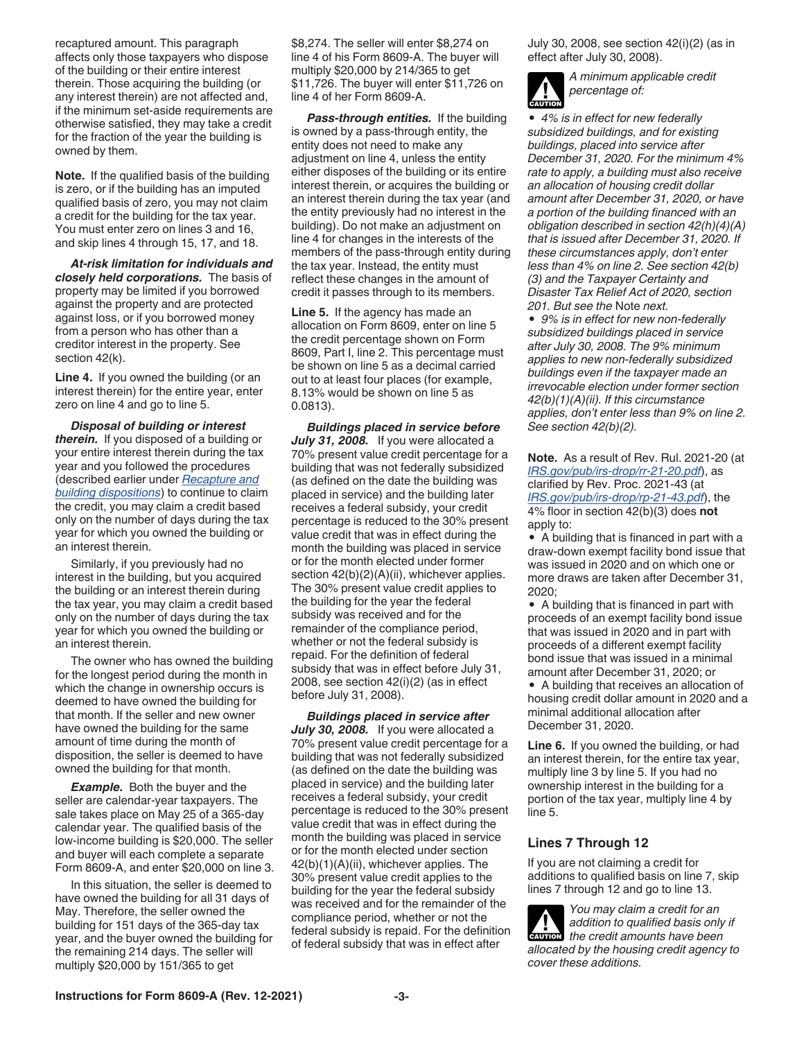<span id="page-2-0"></span>recaptured amount. This paragraph affects only those taxpayers who dispose of the building or their entire interest therein. Those acquiring the building (or any interest therein) are not affected and, if the minimum set-aside requirements are otherwise satisfied, they may take a credit for the fraction of the year the building is owned by them.

**Note.** If the qualified basis of the building is zero, or if the building has an imputed qualified basis of zero, you may not claim a credit for the building for the tax year. You must enter zero on lines 3 and 16, and skip lines 4 through 15, 17, and 18.

*At-risk limitation for individuals and closely held corporations.* The basis of property may be limited if you borrowed against the property and are protected against loss, or if you borrowed money from a person who has other than a creditor interest in the property. See section 42(k).

**Line 4.** If you owned the building (or an interest therein) for the entire year, enter zero on line 4 and go to line 5.

*Disposal of building or interest therein.* If you disposed of a building or your entire interest therein during the tax year and you followed the procedures (described earlier under *[Recapture and](#page-0-0) [building dispositions](#page-0-0)*) to continue to claim the credit, you may claim a credit based only on the number of days during the tax year for which you owned the building or an interest therein.

Similarly, if you previously had no interest in the building, but you acquired the building or an interest therein during the tax year, you may claim a credit based only on the number of days during the tax year for which you owned the building or an interest therein.

The owner who has owned the building for the longest period during the month in which the change in ownership occurs is deemed to have owned the building for that month. If the seller and new owner have owned the building for the same amount of time during the month of disposition, the seller is deemed to have owned the building for that month.

*Example.* Both the buyer and the seller are calendar-year taxpayers. The sale takes place on May 25 of a 365-day calendar year. The qualified basis of the low-income building is \$20,000. The seller and buyer will each complete a separate Form 8609-A, and enter \$20,000 on line 3.

In this situation, the seller is deemed to have owned the building for all 31 days of May. Therefore, the seller owned the building for 151 days of the 365-day tax year, and the buyer owned the building for the remaining 214 days. The seller will multiply \$20,000 by 151/365 to get

\$8,274. The seller will enter \$8,274 on line 4 of his Form 8609-A. The buyer will multiply \$20,000 by 214/365 to get \$11,726. The buyer will enter \$11,726 on line 4 of her Form 8609-A.

**Pass-through entities.** If the building is owned by a pass-through entity, the entity does not need to make any adjustment on line 4, unless the entity either disposes of the building or its entire interest therein, or acquires the building or an interest therein during the tax year (and the entity previously had no interest in the building). Do not make an adjustment on line 4 for changes in the interests of the members of the pass-through entity during the tax year. Instead, the entity must reflect these changes in the amount of credit it passes through to its members.

**Line 5.** If the agency has made an allocation on Form 8609, enter on line 5 the credit percentage shown on Form 8609, Part I, line 2. This percentage must be shown on line 5 as a decimal carried out to at least four places (for example, 8.13% would be shown on line 5 as 0.0813).

*Buildings placed in service before*  July 31, 2008. If you were allocated a 70% present value credit percentage for a building that was not federally subsidized (as defined on the date the building was placed in service) and the building later receives a federal subsidy, your credit percentage is reduced to the 30% present value credit that was in effect during the month the building was placed in service or for the month elected under former section  $42(b)(2)(A)(ii)$ , whichever applies. The 30% present value credit applies to the building for the year the federal subsidy was received and for the remainder of the compliance period, whether or not the federal subsidy is repaid. For the definition of federal subsidy that was in effect before July 31, 2008, see section 42(i)(2) (as in effect before July 31, 2008).

*Buildings placed in service after*  July 30, 2008. If you were allocated a 70% present value credit percentage for a building that was not federally subsidized (as defined on the date the building was placed in service) and the building later receives a federal subsidy, your credit percentage is reduced to the 30% present value credit that was in effect during the month the building was placed in service or for the month elected under section 42(b)(1)(A)(ii), whichever applies. The 30% present value credit applies to the building for the year the federal subsidy was received and for the remainder of the compliance period, whether or not the federal subsidy is repaid. For the definition of federal subsidy that was in effect after

July 30, 2008, see section 42(i)(2) (as in effect after July 30, 2008).

*A minimum applicable credit percentage of:* **ALL**<br>CAUTION

*• 4% is in effect for new federally subsidized buildings, and for existing buildings, placed into service after December 31, 2020. For the minimum 4% rate to apply, a building must also receive an allocation of housing credit dollar amount after December 31, 2020, or have a portion of the building financed with an obligation described in section 42(h)(4)(A) that is issued after December 31, 2020. If these circumstances apply, don't enter less than 4% on line 2. See section 42(b) (3) and the Taxpayer Certainty and Disaster Tax Relief Act of 2020, section 201. But see the* Note *next.*

*• 9% is in effect for new non-federally subsidized buildings placed in service after July 30, 2008. The 9% minimum applies to new non-federally subsidized buildings even if the taxpayer made an irrevocable election under former section 42(b)(1)(A)(ii). If this circumstance applies, don't enter less than 9% on line 2. See section 42(b)(2).*

**Note.** As a result of Rev. Rul. 2021-20 (at *[IRS.gov/pub/irs-drop/rr-21-20.pdf](https://www.irs.gov/pub/irs-drop/rr-21-20.pdf)*), as clarified by Rev. Proc. 2021-43 (at *[IRS.gov/pub/irs-drop/rp-21-43.pdf](https://www.irs.gov/pub/irs-drop/rp-21-43.pdf)*), the 4% floor in section 42(b)(3) does **not**  apply to:

• A building that is financed in part with a draw-down exempt facility bond issue that was issued in 2020 and on which one or more draws are taken after December 31, 2020;

• A building that is financed in part with proceeds of an exempt facility bond issue that was issued in 2020 and in part with proceeds of a different exempt facility bond issue that was issued in a minimal amount after December 31, 2020; or

• A building that receives an allocation of housing credit dollar amount in 2020 and a minimal additional allocation after December 31, 2020.

**Line 6.** If you owned the building, or had an interest therein, for the entire tax year, multiply line 3 by line 5. If you had no ownership interest in the building for a portion of the tax year, multiply line 4 by line 5.

#### **Lines 7 Through 12**

If you are not claiming a credit for additions to qualified basis on line 7, skip lines 7 through 12 and go to line 13.

*You may claim a credit for an addition to qualified basis only if*  **z** *addition to qualified basis only*<br>the credit amounts have been *allocated by the housing credit agency to cover these additions.*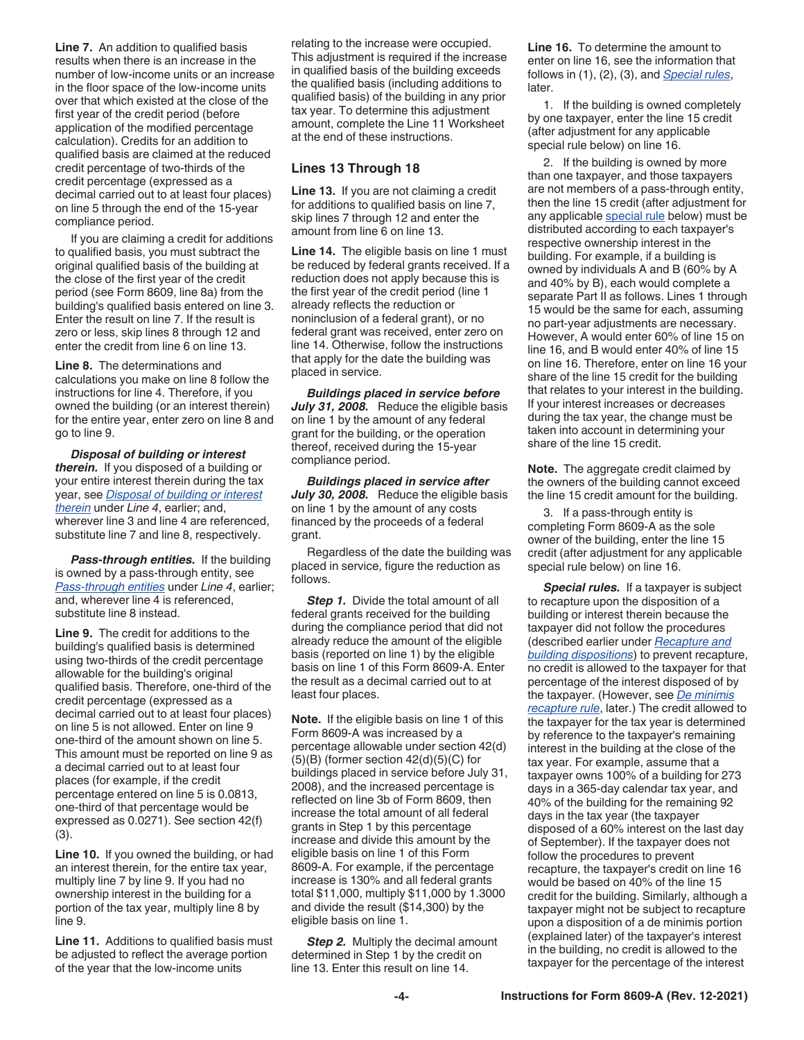**Line 7.** An addition to qualified basis results when there is an increase in the number of low-income units or an increase in the floor space of the low-income units over that which existed at the close of the first year of the credit period (before application of the modified percentage calculation). Credits for an addition to qualified basis are claimed at the reduced credit percentage of two-thirds of the credit percentage (expressed as a decimal carried out to at least four places) on line 5 through the end of the 15-year compliance period.

If you are claiming a credit for additions to qualified basis, you must subtract the original qualified basis of the building at the close of the first year of the credit period (see Form 8609, line 8a) from the building's qualified basis entered on line 3. Enter the result on line 7. If the result is zero or less, skip lines 8 through 12 and enter the credit from line 6 on line 13.

**Line 8.** The determinations and calculations you make on line 8 follow the instructions for line 4. Therefore, if you owned the building (or an interest therein) for the entire year, enter zero on line 8 and go to line 9.

*Disposal of building or interest therein.* If you disposed of a building or your entire interest therein during the tax year, see *[Disposal of building or interest](#page-2-0)  [therein](#page-2-0)* under *Line 4*, earlier; and, wherever line 3 and line 4 are referenced, substitute line 7 and line 8, respectively.

**Pass-through entities.** If the building is owned by a pass-through entity, see *[Pass-through entities](#page-2-0)* under *Line 4*, earlier; and, wherever line 4 is referenced, substitute line 8 instead.

**Line 9.** The credit for additions to the building's qualified basis is determined using two-thirds of the credit percentage allowable for the building's original qualified basis. Therefore, one-third of the credit percentage (expressed as a decimal carried out to at least four places) on line 5 is not allowed. Enter on line 9 one-third of the amount shown on line 5. This amount must be reported on line 9 as a decimal carried out to at least four places (for example, if the credit percentage entered on line 5 is 0.0813, one-third of that percentage would be expressed as 0.0271). See section 42(f) (3).

**Line 10.** If you owned the building, or had an interest therein, for the entire tax year, multiply line 7 by line 9. If you had no ownership interest in the building for a portion of the tax year, multiply line 8 by line 9.

**Line 11.** Additions to qualified basis must be adjusted to reflect the average portion of the year that the low-income units

relating to the increase were occupied. This adjustment is required if the increase in qualified basis of the building exceeds the qualified basis (including additions to qualified basis) of the building in any prior tax year. To determine this adjustment amount, complete the Line 11 Worksheet at the end of these instructions.

#### **Lines 13 Through 18**

**Line 13.** If you are not claiming a credit for additions to qualified basis on line 7, skip lines 7 through 12 and enter the amount from line 6 on line 13.

**Line 14.** The eligible basis on line 1 must be reduced by federal grants received. If a reduction does not apply because this is the first year of the credit period (line 1 already reflects the reduction or noninclusion of a federal grant), or no federal grant was received, enter zero on line 14. Otherwise, follow the instructions that apply for the date the building was placed in service.

*Buildings placed in service before*  July 31, 2008. Reduce the eligible basis on line 1 by the amount of any federal grant for the building, or the operation thereof, received during the 15-year compliance period.

*Buildings placed in service after*  July 30, 2008. Reduce the eligible basis on line 1 by the amount of any costs financed by the proceeds of a federal grant.

Regardless of the date the building was placed in service, figure the reduction as follows.

*Step 1.* Divide the total amount of all federal grants received for the building during the compliance period that did not already reduce the amount of the eligible basis (reported on line 1) by the eligible basis on line 1 of this Form 8609-A. Enter the result as a decimal carried out to at least four places.

**Note.** If the eligible basis on line 1 of this Form 8609-A was increased by a percentage allowable under section 42(d)  $(5)(B)$  (former section  $42(d)(5)(C)$  for buildings placed in service before July 31, 2008), and the increased percentage is reflected on line 3b of Form 8609, then increase the total amount of all federal grants in Step 1 by this percentage increase and divide this amount by the eligible basis on line 1 of this Form 8609-A. For example, if the percentage increase is 130% and all federal grants total \$11,000, multiply \$11,000 by 1.3000 and divide the result (\$14,300) by the eligible basis on line 1.

*Step 2.* Multiply the decimal amount determined in Step 1 by the credit on line 13. Enter this result on line 14.

**Line 16.** To determine the amount to enter on line 16, see the information that follows in (1), (2), (3), and *Special rules*, later.

1. If the building is owned completely by one taxpayer, enter the line 15 credit (after adjustment for any applicable special rule below) on line 16.

2. If the building is owned by more than one taxpayer, and those taxpayers are not members of a pass-through entity, then the line 15 credit (after adjustment for any applicable special rule below) must be distributed according to each taxpayer's respective ownership interest in the building. For example, if a building is owned by individuals A and B (60% by A and 40% by B), each would complete a separate Part II as follows. Lines 1 through 15 would be the same for each, assuming no part-year adjustments are necessary. However, A would enter 60% of line 15 on line 16, and B would enter 40% of line 15 on line 16. Therefore, enter on line 16 your share of the line 15 credit for the building that relates to your interest in the building. If your interest increases or decreases during the tax year, the change must be taken into account in determining your share of the line 15 credit.

**Note.** The aggregate credit claimed by the owners of the building cannot exceed the line 15 credit amount for the building.

3. If a pass-through entity is completing Form 8609-A as the sole owner of the building, enter the line 15 credit (after adjustment for any applicable special rule below) on line 16.

*Special rules.* If a taxpayer is subject to recapture upon the disposition of a building or interest therein because the taxpayer did not follow the procedures (described earlier under *[Recapture and](#page-0-0) [building dispositions](#page-0-0)*) to prevent recapture, no credit is allowed to the taxpayer for that percentage of the interest disposed of by the taxpayer. (However, see *[De minimis](#page-4-0)  [recapture rule](#page-4-0)*, later.) The credit allowed to the taxpayer for the tax year is determined by reference to the taxpayer's remaining interest in the building at the close of the tax year. For example, assume that a taxpayer owns 100% of a building for 273 days in a 365-day calendar tax year, and 40% of the building for the remaining 92 days in the tax year (the taxpayer disposed of a 60% interest on the last day of September). If the taxpayer does not follow the procedures to prevent recapture, the taxpayer's credit on line 16 would be based on 40% of the line 15 credit for the building. Similarly, although a taxpayer might not be subject to recapture upon a disposition of a de minimis portion (explained later) of the taxpayer's interest in the building, no credit is allowed to the taxpayer for the percentage of the interest